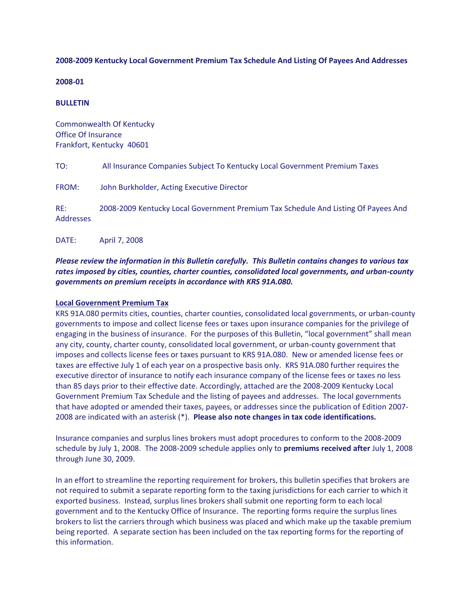# **2008-2009 Kentucky Local Government Premium Tax Schedule And Listing Of Payees And Addresses**

#### **2008-01**

#### **BULLETIN**

Commonwealth Of Kentucky Office Of Insurance Frankfort, Kentucky 40601

TO: All Insurance Companies Subject To Kentucky Local Government Premium Taxes

FROM: John Burkholder, Acting Executive Director

RE: 2008-2009 Kentucky Local Government Premium Tax Schedule And Listing Of Payees And Addresses

DATE: April 7, 2008

# *Please review the information in this Bulletin carefully. This Bulletin contains changes to various tax rates imposed by cities, counties, charter counties, consolidated local governments, and urban-county governments on premium receipts in accordance with KRS 91A.080.*

#### **Local Government Premium Tax**

KRS 91A.080 permits cities, counties, charter counties, consolidated local governments, or urban-county governments to impose and collect license fees or taxes upon insurance companies for the privilege of engaging in the business of insurance. For the purposes of this Bulletin, "local government" shall mean any city, county, charter county, consolidated local government, or urban-county government that imposes and collects license fees or taxes pursuant to KRS 91A.080. New or amended license fees or taxes are effective July 1 of each year on a prospective basis only. KRS 91A.080 further requires the executive director of insurance to notify each insurance company of the license fees or taxes no less than 85 days prior to their effective date. Accordingly, attached are the 2008-2009 Kentucky Local Government Premium Tax Schedule and the listing of payees and addresses. The local governments that have adopted or amended their taxes, payees, or addresses since the publication of Edition 2007- 2008 are indicated with an asterisk (\*). **Please also note changes in tax code identifications.**

Insurance companies and surplus lines brokers must adopt procedures to conform to the 2008-2009 schedule by July 1, 2008. The 2008-2009 schedule applies only to **premiums received after** July 1, 2008 through June 30, 2009.

In an effort to streamline the reporting requirement for brokers, this bulletin specifies that brokers are not required to submit a separate reporting form to the taxing jurisdictions for each carrier to which it exported business. Instead, surplus lines brokers shall submit one reporting form to each local government and to the Kentucky Office of Insurance. The reporting forms require the surplus lines brokers to list the carriers through which business was placed and which make up the taxable premium being reported. A separate section has been included on the tax reporting forms for the reporting of this information.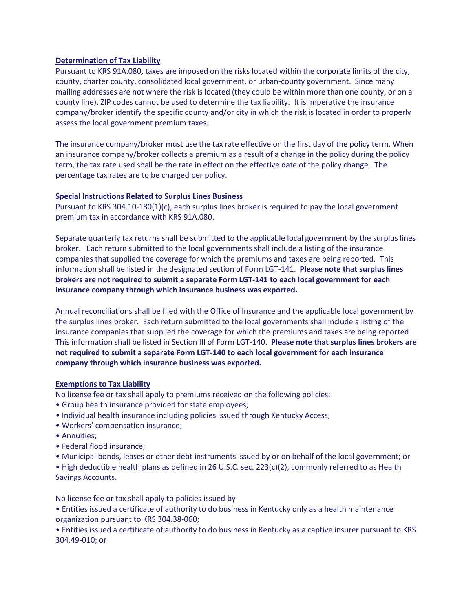# **Determination of Tax Liability**

Pursuant to KRS 91A.080, taxes are imposed on the risks located within the corporate limits of the city, county, charter county, consolidated local government, or urban-county government. Since many mailing addresses are not where the risk is located (they could be within more than one county, or on a county line), ZIP codes cannot be used to determine the tax liability. It is imperative the insurance company/broker identify the specific county and/or city in which the risk is located in order to properly assess the local government premium taxes.

The insurance company/broker must use the tax rate effective on the first day of the policy term. When an insurance company/broker collects a premium as a result of a change in the policy during the policy term, the tax rate used shall be the rate in effect on the effective date of the policy change. The percentage tax rates are to be charged per policy.

#### **Special Instructions Related to Surplus Lines Business**

Pursuant to KRS 304.10-180(1)(c), each surplus lines broker is required to pay the local government premium tax in accordance with KRS 91A.080.

Separate quarterly tax returns shall be submitted to the applicable local government by the surplus lines broker. Each return submitted to the local governments shall include a listing of the insurance companies that supplied the coverage for which the premiums and taxes are being reported. This information shall be listed in the designated section of Form LGT-141. **Please note that surplus lines brokers are not required to submit a separate Form LGT-141 to each local government for each insurance company through which insurance business was exported.**

Annual reconciliations shall be filed with the Office of Insurance and the applicable local government by the surplus lines broker. Each return submitted to the local governments shall include a listing of the insurance companies that supplied the coverage for which the premiums and taxes are being reported. This information shall be listed in Section III of Form LGT-140. **Please note that surplus lines brokers are not required to submit a separate Form LGT-140 to each local government for each insurance company through which insurance business was exported.**

#### **Exemptions to Tax Liability**

No license fee or tax shall apply to premiums received on the following policies:

- Group health insurance provided for state employees;
- Individual health insurance including policies issued through Kentucky Access;
- Workers' compensation insurance;
- Annuities;
- Federal flood insurance;
- Municipal bonds, leases or other debt instruments issued by or on behalf of the local government; or

• High deductible health plans as defined in 26 U.S.C. sec. 223(c)(2), commonly referred to as Health Savings Accounts.

No license fee or tax shall apply to policies issued by

• Entities issued a certificate of authority to do business in Kentucky only as a health maintenance organization pursuant to KRS 304.38-060;

• Entities issued a certificate of authority to do business in Kentucky as a captive insurer pursuant to KRS 304.49-010; or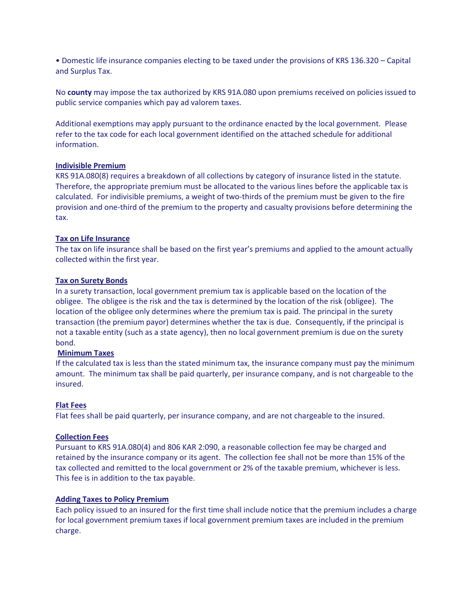• Domestic life insurance companies electing to be taxed under the provisions of KRS 136.320 – Capital and Surplus Tax.

No **county** may impose the tax authorized by KRS 91A.080 upon premiums received on policies issued to public service companies which pay ad valorem taxes.

Additional exemptions may apply pursuant to the ordinance enacted by the local government. Please refer to the tax code for each local government identified on the attached schedule for additional information.

# **Indivisible Premium**

KRS 91A.080(8) requires a breakdown of all collections by category of insurance listed in the statute. Therefore, the appropriate premium must be allocated to the various lines before the applicable tax is calculated. For indivisible premiums, a weight of two-thirds of the premium must be given to the fire provision and one-third of the premium to the property and casualty provisions before determining the tax.

# **Tax on Life Insurance**

The tax on life insurance shall be based on the first year's premiums and applied to the amount actually collected within the first year.

#### **Tax on Surety Bonds**

In a surety transaction, local government premium tax is applicable based on the location of the obligee. The obligee is the risk and the tax is determined by the location of the risk (obligee). The location of the obligee only determines where the premium tax is paid. The principal in the surety transaction (the premium payor) determines whether the tax is due. Consequently, if the principal is not a taxable entity (such as a state agency), then no local government premium is due on the surety bond.

# **Minimum Taxes**

If the calculated tax is less than the stated minimum tax, the insurance company must pay the minimum amount. The minimum tax shall be paid quarterly, per insurance company, and is not chargeable to the insured.

# **Flat Fees**

Flat fees shall be paid quarterly, per insurance company, and are not chargeable to the insured.

#### **Collection Fees**

Pursuant to KRS 91A.080(4) and 806 KAR 2:090, a reasonable collection fee may be charged and retained by the insurance company or its agent. The collection fee shall not be more than 15% of the tax collected and remitted to the local government or 2% of the taxable premium, whichever is less. This fee is in addition to the tax payable.

#### **Adding Taxes to Policy Premium**

Each policy issued to an insured for the first time shall include notice that the premium includes a charge for local government premium taxes if local government premium taxes are included in the premium charge.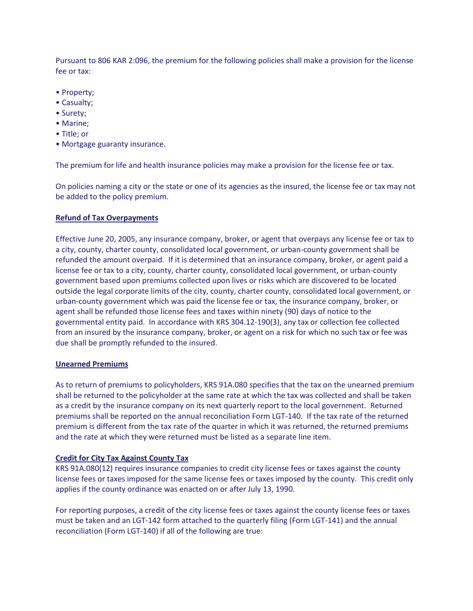Pursuant to 806 KAR 2:096, the premium for the following policies shall make a provision for the license fee or tax:

- Property;
- Casualty;
- Surety;
- Marine;
- Title; or
- Mortgage guaranty insurance.

The premium for life and health insurance policies may make a provision for the license fee or tax.

On policies naming a city or the state or one of its agencies as the insured, the license fee or tax may not be added to the policy premium.

# **Refund of Tax Overpayments**

Effective June 20, 2005, any insurance company, broker, or agent that overpays any license fee or tax to a city, county, charter county, consolidated local government, or urban-county government shall be refunded the amount overpaid. If it is determined that an insurance company, broker, or agent paid a license fee or tax to a city, county, charter county, consolidated local government, or urban-county government based upon premiums collected upon lives or risks which are discovered to be located outside the legal corporate limits of the city, county, charter county, consolidated local government, or urban-county government which was paid the license fee or tax, the insurance company, broker, or agent shall be refunded those license fees and taxes within ninety (90) days of notice to the governmental entity paid. In accordance with KRS 304.12-190(3), any tax or collection fee collected from an insured by the insurance company, broker, or agent on a risk for which no such tax or fee was due shall be promptly refunded to the insured.

#### **Unearned Premiums**

As to return of premiums to policyholders, KRS 91A.080 specifies that the tax on the unearned premium shall be returned to the policyholder at the same rate at which the tax was collected and shall be taken as a credit by the insurance company on its next quarterly report to the local government. Returned premiums shall be reported on the annual reconciliation Form LGT-140. If the tax rate of the returned premium is different from the tax rate of the quarter in which it was returned, the returned premiums and the rate at which they were returned must be listed as a separate line item.

#### **Credit for City Tax Against County Tax**

KRS 91A.080(12) requires insurance companies to credit city license fees or taxes against the county license fees or taxes imposed for the same license fees or taxes imposed by the county. This credit only applies if the county ordinance was enacted on or after July 13, 1990.

For reporting purposes, a credit of the city license fees or taxes against the county license fees or taxes must be taken and an LGT-142 form attached to the quarterly filing (Form LGT-141) and the annual reconciliation (Form LGT-140) if all of the following are true: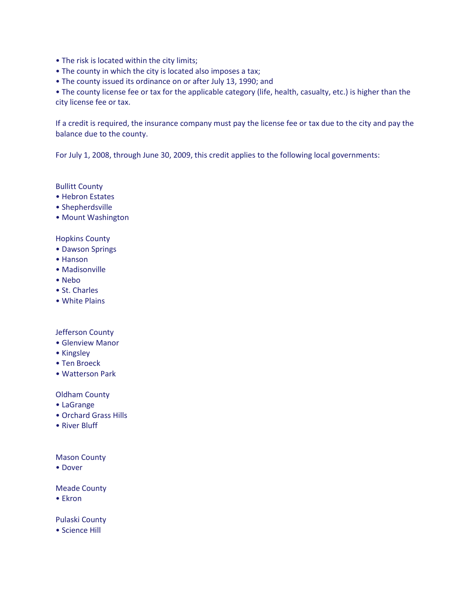- The risk is located within the city limits;
- The county in which the city is located also imposes a tax;
- The county issued its ordinance on or after July 13, 1990; and

• The county license fee or tax for the applicable category (life, health, casualty, etc.) is higher than the city license fee or tax.

If a credit is required, the insurance company must pay the license fee or tax due to the city and pay the balance due to the county.

For July 1, 2008, through June 30, 2009, this credit applies to the following local governments:

# Bullitt County

- Hebron Estates
- Shepherdsville
- Mount Washington

#### Hopkins County

- Dawson Springs
- Hanson
- Madisonville
- Nebo
- St. Charles
- White Plains

# Jefferson County

- Glenview Manor
- Kingsley
- Ten Broeck
- Watterson Park

#### Oldham County

- LaGrange
- Orchard Grass Hills
- River Bluff

### Mason County

• Dover

#### Meade County

• Ekron

#### Pulaski County

• Science Hill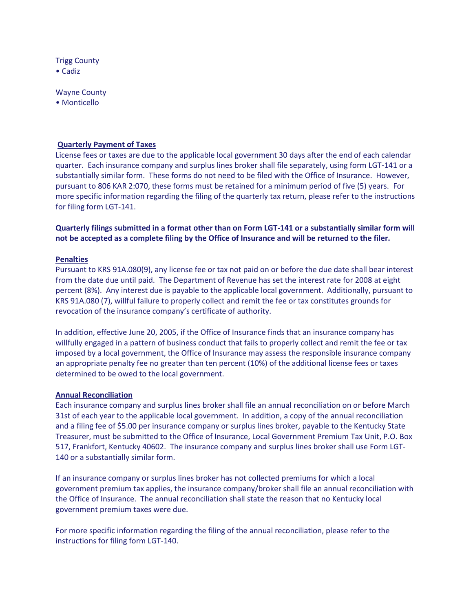Trigg County • Cadiz

Wayne County

• Monticello

# **Quarterly Payment of Taxes**

License fees or taxes are due to the applicable local government 30 days after the end of each calendar quarter. Each insurance company and surplus lines broker shall file separately, using form LGT-141 or a substantially similar form. These forms do not need to be filed with the Office of Insurance. However, pursuant to 806 KAR 2:070, these forms must be retained for a minimum period of five (5) years. For more specific information regarding the filing of the quarterly tax return, please refer to the instructions for filing form LGT-141.

**Quarterly filings submitted in a format other than on Form LGT-141 or a substantially similar form will not be accepted as a complete filing by the Office of Insurance and will be returned to the filer.**

#### **Penalties**

Pursuant to KRS 91A.080(9), any license fee or tax not paid on or before the due date shall bear interest from the date due until paid. The Department of Revenue has set the interest rate for 2008 at eight percent (8%). Any interest due is payable to the applicable local government. Additionally, pursuant to KRS 91A.080 (7), willful failure to properly collect and remit the fee or tax constitutes grounds for revocation of the insurance company's certificate of authority.

In addition, effective June 20, 2005, if the Office of Insurance finds that an insurance company has willfully engaged in a pattern of business conduct that fails to properly collect and remit the fee or tax imposed by a local government, the Office of Insurance may assess the responsible insurance company an appropriate penalty fee no greater than ten percent (10%) of the additional license fees or taxes determined to be owed to the local government.

#### **Annual Reconciliation**

Each insurance company and surplus lines broker shall file an annual reconciliation on or before March 31st of each year to the applicable local government. In addition, a copy of the annual reconciliation and a filing fee of \$5.00 per insurance company or surplus lines broker, payable to the Kentucky State Treasurer, must be submitted to the Office of Insurance, Local Government Premium Tax Unit, P.O. Box 517, Frankfort, Kentucky 40602. The insurance company and surplus lines broker shall use Form LGT-140 or a substantially similar form.

If an insurance company or surplus lines broker has not collected premiums for which a local government premium tax applies, the insurance company/broker shall file an annual reconciliation with the Office of Insurance. The annual reconciliation shall state the reason that no Kentucky local government premium taxes were due.

For more specific information regarding the filing of the annual reconciliation, please refer to the instructions for filing form LGT-140.